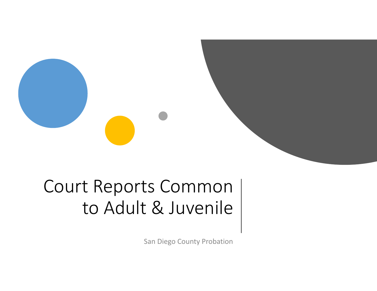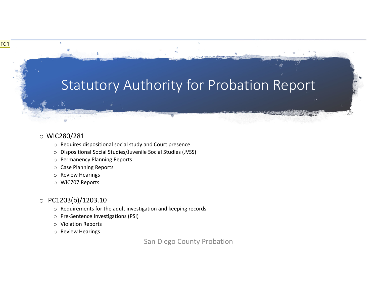### Statutory Authority for Probation Report

#### o WIC280/281

FC1

- o Requires dispositional social study and Court presence
- o Dispositional Social Studies/Juvenile Social Studies (JVSS)
- o Permanency Planning Reports
- o Case Planning Reports
- o Review Hearings
- o WIC707 Reports

#### o PC1203(b)/1203.10

- $\circ$  Requirements for the adult investigation and keeping records
- o Pre‐Sentence Investigations (PSI)
- o Violation Reports
- o Review Hearings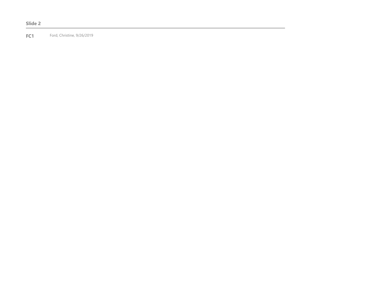#### **Slide 2**

**FC1** Ford, Christine, 9/26/2019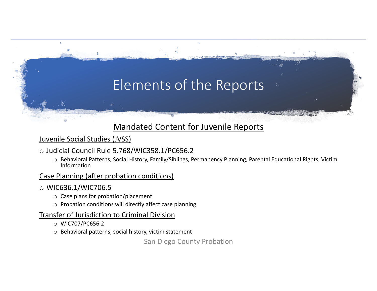# Elements of the Reports

### Mandated Content for Juvenile Reports

### Juvenile Social Studies (JVSS)

#### o Judicial Council Rule 5.768/WIC358.1/PC656.2

o Behavioral Patterns, Social History, Family/Siblings, Permanency Planning, Parental Educational Rights, Victim Information

#### Case Planning (after probation conditions)

#### o WIC636.1/WIC706.5

- o Case plans for probation/placement
- $\circ$  Probation conditions will directly affect case planning

#### Transfer of Jurisdiction to Criminal Division

- o WIC707/PC656.2
- o Behavioral patterns, social history, victim statement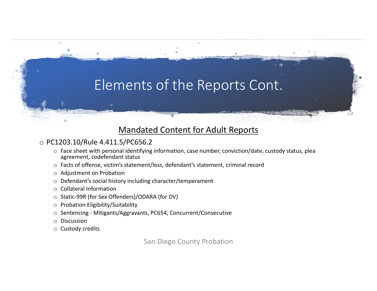# Elements of the Reports Cont.

### Mandated Content for Adult Reports

### o PC1203.10/Rule 4.411.5/PC656.2

- $\circ$  Face sheet with personal identifying information, case number, conviction/date, custody status, plea agreement, codefendant status
- o Facts of offense, victim's statement/loss, defendant's statement, criminal record
- o Adjustment on Probation
- o Defendant's social history including character/temperament
- o Collateral Information
- o Static‐99R (for Sex Offenders)/ODARA (for DV)
- o Probation Eligibility/Suitability
- o Sentencing ‐ Mitigants/Aggravants, PC654, Concurrent/Consecutive
- o Discussion
- o Custody credits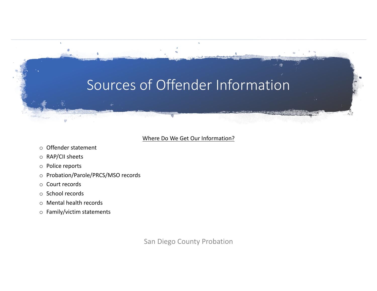## Sources of Offender Information

#### Where Do We Get Our Information?

- o Offender statement
- o RAP/CII sheets
- o Police reports
- o Probation/Parole/PRCS/MSO records
- o Court records
- o School records
- o Mental health records
- o Family/victim statements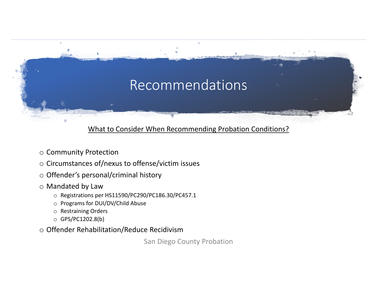# Recommendations

### What to Consider When Recommending Probation Conditions?

- o Community Protection
- o Circumstances of/nexus to offense/victim issues
- o Offender's personal/criminal history
- o Mandated by Law
	- o Registrations per HS11590/PC290/PC186.30/PC457.1
	- o Programs for DUI/DV/Child Abuse
	- o Restraining Orders
	- o GPS/PC1202.8(b)
- o Offender Rehabilitation/Reduce Recidivism